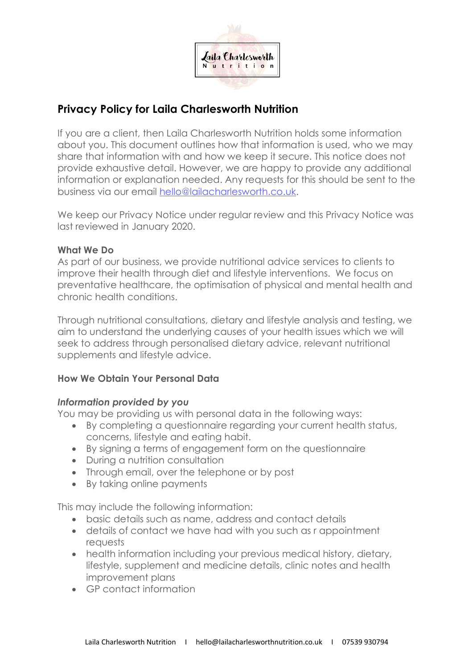

# **Privacy Policy for Laila Charlesworth Nutrition**

If you are a client, then Laila Charlesworth Nutrition holds some information about you. This document outlines how that information is used, who we may share that information with and how we keep it secure. This notice does not provide exhaustive detail. However, we are happy to provide any additional information or explanation needed. Any requests for this should be sent to the business via our email hello@lailacharlesworth.co.uk.

We keep our Privacy Notice under regular review and this Privacy Notice was last reviewed in January 2020.

## **What We Do**

As part of our business, we provide nutritional advice services to clients to improve their health through diet and lifestyle interventions. We focus on preventative healthcare, the optimisation of physical and mental health and chronic health conditions.

Through nutritional consultations, dietary and lifestyle analysis and testing, we aim to understand the underlying causes of your health issues which we will seek to address through personalised dietary advice, relevant nutritional supplements and lifestyle advice.

## **How We Obtain Your Personal Data**

#### *Information provided by you*

You may be providing us with personal data in the following ways:

- By completing a questionnaire regarding your current health status, concerns, lifestyle and eating habit.
- By signing a terms of engagement form on the questionnaire
- During a nutrition consultation
- Through email, over the telephone or by post
- By taking online payments

This may include the following information:

- basic details such as name, address and contact details
- details of contact we have had with you such as r appointment requests
- health information including your previous medical history, dietary, lifestyle, supplement and medicine details, clinic notes and health improvement plans
- GP contact information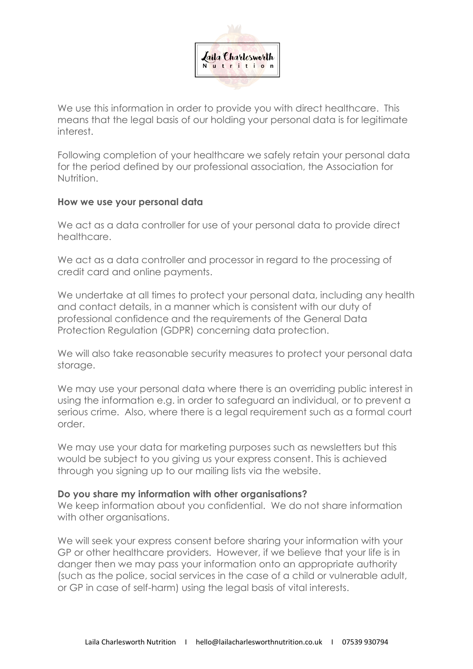

We use this information in order to provide you with direct healthcare. This means that the legal basis of our holding your personal data is for legitimate interest.

Following completion of your healthcare we safely retain your personal data for the period defined by our professional association, the Association for Nutrition.

#### **How we use your personal data**

We act as a data controller for use of your personal data to provide direct healthcare.

We act as a data controller and processor in regard to the processing of credit card and online payments.

We undertake at all times to protect your personal data, including any health and contact details, in a manner which is consistent with our duty of professional confidence and the requirements of the General Data Protection Regulation (GDPR) concerning data protection.

We will also take reasonable security measures to protect your personal data storage.

We may use your personal data where there is an overriding public interest in using the information e.g. in order to safeguard an individual, or to prevent a serious crime. Also, where there is a legal requirement such as a formal court order.

We may use your data for marketing purposes such as newsletters but this would be subject to you giving us your express consent. This is achieved through you signing up to our mailing lists via the website.

## **Do you share my information with other organisations?**

We keep information about you confidential. We do not share information with other organisations.

We will seek your express consent before sharing your information with your GP or other healthcare providers. However, if we believe that your life is in danger then we may pass your information onto an appropriate authority (such as the police, social services in the case of a child or vulnerable adult, or GP in case of self-harm) using the legal basis of vital interests.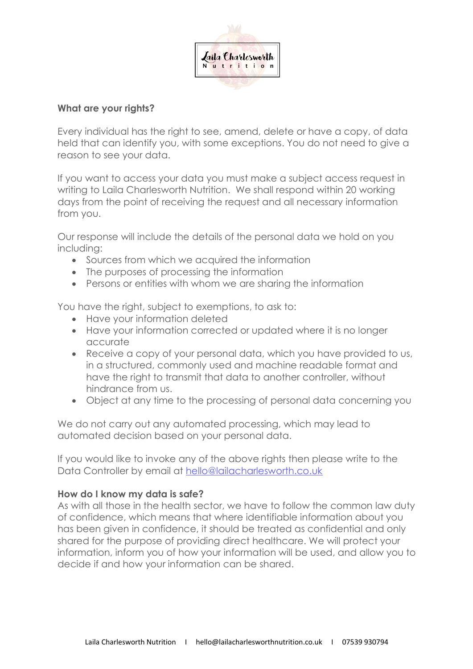

## **What are your rights?**

Every individual has the right to see, amend, delete or have a copy, of data held that can identify you, with some exceptions. You do not need to give a reason to see your data.

If you want to access your data you must make a subject access request in writing to Laila Charlesworth Nutrition. We shall respond within 20 working days from the point of receiving the request and all necessary information from you.

Our response will include the details of the personal data we hold on you including:

- Sources from which we acquired the information
- The purposes of processing the information
- Persons or entities with whom we are sharing the information

You have the right, subject to exemptions, to ask to:

- Have your information deleted
- Have your information corrected or updated where it is no longer accurate
- Receive a copy of your personal data, which you have provided to us, in a structured, commonly used and machine readable format and have the right to transmit that data to another controller, without hindrance from us.
- Object at any time to the processing of personal data concerning you

We do not carry out any automated processing, which may lead to automated decision based on your personal data.

If you would like to invoke any of the above rights then please write to the Data Controller by email at hello@lailacharlesworth.co.uk

## **How do I know my data is safe?**

As with all those in the health sector, we have to follow the common law duty of confidence, which means that where identifiable information about you has been given in confidence, it should be treated as confidential and only shared for the purpose of providing direct healthcare. We will protect your information, inform you of how your information will be used, and allow you to decide if and how your information can be shared.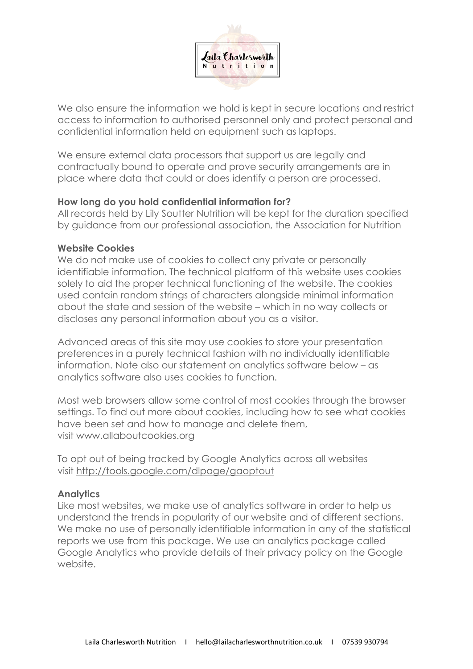

We also ensure the information we hold is kept in secure locations and restrict access to information to authorised personnel only and protect personal and confidential information held on equipment such as laptops.

We ensure external data processors that support us are legally and contractually bound to operate and prove security arrangements are in place where data that could or does identify a person are processed.

#### **How long do you hold confidential information for?**

All records held by Lily Soutter Nutrition will be kept for the duration specified by guidance from our professional association, the Association for Nutrition

## **Website Cookies**

We do not make use of cookies to collect any private or personally identifiable information. The technical platform of this website uses cookies solely to aid the proper technical functioning of the website. The cookies used contain random strings of characters alongside minimal information about the state and session of the website – which in no way collects or discloses any personal information about you as a visitor.

Advanced areas of this site may use cookies to store your presentation preferences in a purely technical fashion with no individually identifiable information. Note also our statement on analytics software below – as analytics software also uses cookies to function.

Most web browsers allow some control of most cookies through the browser settings. To find out more about cookies, including how to see what cookies have been set and how to manage and delete them, visit www.allaboutcookies.org

To opt out of being tracked by Google Analytics across all websites visit http://tools.google.com/dlpage/gaoptout

## **Analytics**

Like most websites, we make use of analytics software in order to help us understand the trends in popularity of our website and of different sections. We make no use of personally identifiable information in any of the statistical reports we use from this package. We use an analytics package called Google Analytics who provide details of their privacy policy on the Google website.